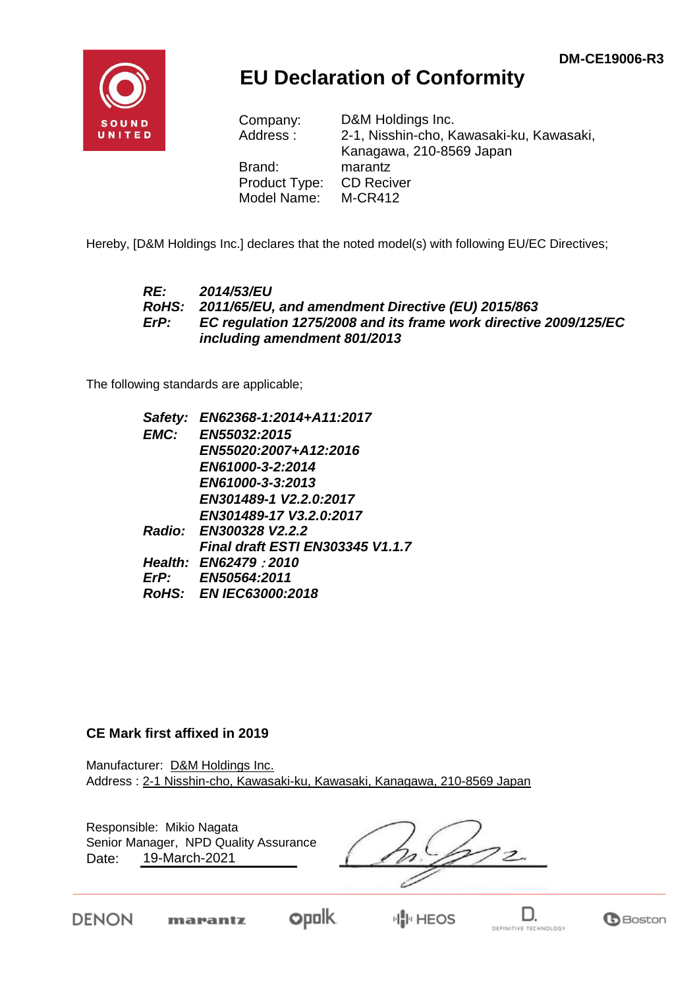

## **EU Declaration of Conformity**

| D&M Holdings Inc.                        |
|------------------------------------------|
| 2-1, Nisshin-cho, Kawasaki-ku, Kawasaki, |
| Kanagawa, 210-8569 Japan                 |
| marantz                                  |
| <b>CD Reciver</b>                        |
| <b>M-CR412</b>                           |
|                                          |

Hereby, [D&M Holdings Inc.] declares that the noted model(s) with following EU/EC Directives;

#### *RE: 2014/53/EU RoHS: 2011/65/EU, and amendment Directive (EU) 2015/863 ErP: EC regulation 1275/2008 and its frame work directive 2009/125/EC including amendment 801/2013*

The following standards are applicable;

| Safety: | EN62368-1:2014+A11:2017                 |
|---------|-----------------------------------------|
|         | EMC: EN55032:2015                       |
|         | EN55020:2007+A12:2016                   |
|         | EN61000-3-2:2014                        |
|         | EN61000-3-3:2013                        |
|         | EN301489-1 V2.2.0:2017                  |
|         | EN301489-17 V3.2.0:2017                 |
|         | Radio: EN300328 V2.2.2                  |
|         | <b>Final draft ESTI EN303345 V1.1.7</b> |
|         | <b>Health: EN62479 2010</b>             |
|         | ErP: EN50564:2011                       |
|         | RoHS: EN IEC63000:2018                  |

#### **CE Mark first affixed in 2019**

Manufacturer: D&M Holdings Inc. Address : 2-1 Nisshin-cho, Kawasaki-ku, Kawasaki, Kanagawa, 210-8569 Japan

Responsible: Mikio Nagata Date: 19-March-2021 Senior Manager, NPD Quality Assurance

**DENON** 

marantz



**IN HEOS**